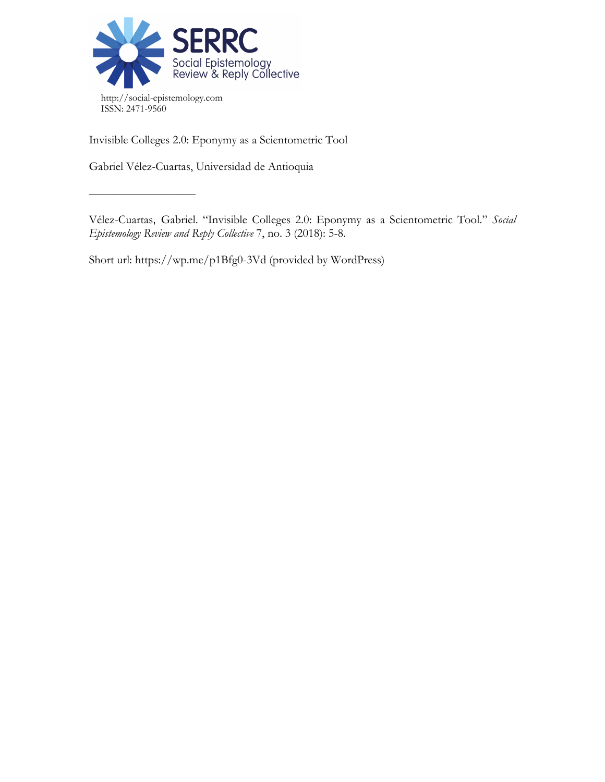

Invisible Colleges 2.0: Eponymy as a Scientometric Tool

Gabriel Vélez-Cuartas, Universidad de Antioquia

 $\frac{\frac{1}{2}+\frac{1}{2}-\frac{1}{2}-\frac{1}{2}-\frac{1}{2}-\frac{1}{2}-\frac{1}{2}-\frac{1}{2}-\frac{1}{2}-\frac{1}{2}-\frac{1}{2}-\frac{1}{2}-\frac{1}{2}-\frac{1}{2}-\frac{1}{2}-\frac{1}{2}-\frac{1}{2}-\frac{1}{2}-\frac{1}{2}-\frac{1}{2}-\frac{1}{2}-\frac{1}{2}-\frac{1}{2}-\frac{1}{2}-\frac{1}{2}-\frac{1}{2}-\frac{1}{2}-\frac{1}{2}-\frac{1}{2}-\frac{1}{2}-\frac{1}{2}-\$ 

Vélez-Cuartas, Gabriel. "Invisible Colleges 2.0: Eponymy as a Scientometric Tool." *Social Epistemology Review and Reply Collective* 7, no. 3 (2018): 5-8.

Short url: https://wp.me/p1Bfg0-3Vd (provided by WordPress)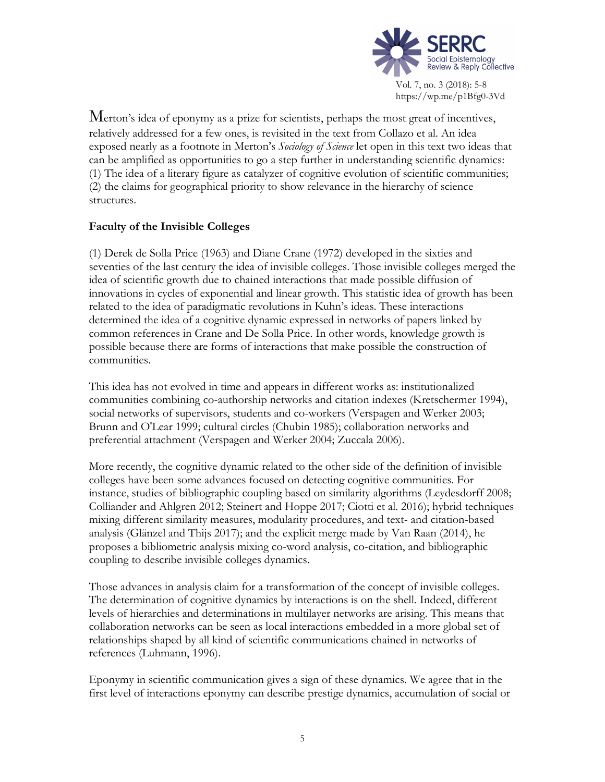

Merton's idea of eponymy as a prize for scientists, perhaps the most great of incentives, relatively addressed for a few ones, is revisited in the text from Collazo et al. An idea exposed nearly as a footnote in Merton's *Sociology of Science* let open in this text two ideas that can be amplified as opportunities to go a step further in understanding scientific dynamics: (1) The idea of a literary figure as catalyzer of cognitive evolution of scientific communities; (2) the claims for geographical priority to show relevance in the hierarchy of science structures.

## **Faculty of the Invisible Colleges**

(1) Derek de Solla Price (1963) and Diane Crane (1972) developed in the sixties and seventies of the last century the idea of invisible colleges. Those invisible colleges merged the idea of scientific growth due to chained interactions that made possible diffusion of innovations in cycles of exponential and linear growth. This statistic idea of growth has been related to the idea of paradigmatic revolutions in Kuhn's ideas. These interactions determined the idea of a cognitive dynamic expressed in networks of papers linked by common references in Crane and De Solla Price. In other words, knowledge growth is possible because there are forms of interactions that make possible the construction of communities.

This idea has not evolved in time and appears in different works as: institutionalized communities combining co-authorship networks and citation indexes (Kretschermer 1994), social networks of supervisors, students and co-workers (Verspagen and Werker 2003; Brunn and O'Lear 1999; cultural circles (Chubin 1985); collaboration networks and preferential attachment (Verspagen and Werker 2004; Zuccala 2006).

More recently, the cognitive dynamic related to the other side of the definition of invisible colleges have been some advances focused on detecting cognitive communities. For instance, studies of bibliographic coupling based on similarity algorithms (Leydesdorff 2008; Colliander and Ahlgren 2012; Steinert and Hoppe 2017; Ciotti et al. 2016); hybrid techniques mixing different similarity measures, modularity procedures, and text- and citation-based analysis (Glänzel and Thijs 2017); and the explicit merge made by Van Raan (2014), he proposes a bibliometric analysis mixing co-word analysis, co-citation, and bibliographic coupling to describe invisible colleges dynamics.

Those advances in analysis claim for a transformation of the concept of invisible colleges. The determination of cognitive dynamics by interactions is on the shell. Indeed, different levels of hierarchies and determinations in multilayer networks are arising. This means that collaboration networks can be seen as local interactions embedded in a more global set of relationships shaped by all kind of scientific communications chained in networks of references (Luhmann, 1996).

Eponymy in scientific communication gives a sign of these dynamics. We agree that in the first level of interactions eponymy can describe prestige dynamics, accumulation of social or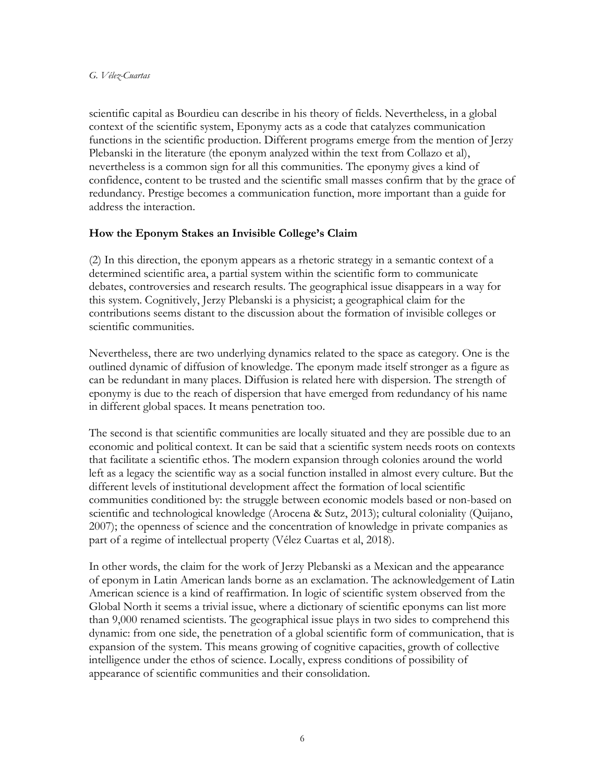scientific capital as Bourdieu can describe in his theory of fields. Nevertheless, in a global context of the scientific system, Eponymy acts as a code that catalyzes communication functions in the scientific production. Different programs emerge from the mention of Jerzy Plebanski in the literature (the eponym analyzed within the text from Collazo et al), nevertheless is a common sign for all this communities. The eponymy gives a kind of confidence, content to be trusted and the scientific small masses confirm that by the grace of redundancy. Prestige becomes a communication function, more important than a guide for address the interaction.

## **How the Eponym Stakes an Invisible College's Claim**

(2) In this direction, the eponym appears as a rhetoric strategy in a semantic context of a determined scientific area, a partial system within the scientific form to communicate debates, controversies and research results. The geographical issue disappears in a way for this system. Cognitively, Jerzy Plebanski is a physicist; a geographical claim for the contributions seems distant to the discussion about the formation of invisible colleges or scientific communities.

Nevertheless, there are two underlying dynamics related to the space as category. One is the outlined dynamic of diffusion of knowledge. The eponym made itself stronger as a figure as can be redundant in many places. Diffusion is related here with dispersion. The strength of eponymy is due to the reach of dispersion that have emerged from redundancy of his name in different global spaces. It means penetration too.

The second is that scientific communities are locally situated and they are possible due to an economic and political context. It can be said that a scientific system needs roots on contexts that facilitate a scientific ethos. The modern expansion through colonies around the world left as a legacy the scientific way as a social function installed in almost every culture. But the different levels of institutional development affect the formation of local scientific communities conditioned by: the struggle between economic models based or non-based on scientific and technological knowledge (Arocena & Sutz, 2013); cultural coloniality (Quijano, 2007); the openness of science and the concentration of knowledge in private companies as part of a regime of intellectual property (Vélez Cuartas et al, 2018).

In other words, the claim for the work of Jerzy Plebanski as a Mexican and the appearance of eponym in Latin American lands borne as an exclamation. The acknowledgement of Latin American science is a kind of reaffirmation. In logic of scientific system observed from the Global North it seems a trivial issue, where a dictionary of scientific eponyms can list more than 9,000 renamed scientists. The geographical issue plays in two sides to comprehend this dynamic: from one side, the penetration of a global scientific form of communication, that is expansion of the system. This means growing of cognitive capacities, growth of collective intelligence under the ethos of science. Locally, express conditions of possibility of appearance of scientific communities and their consolidation.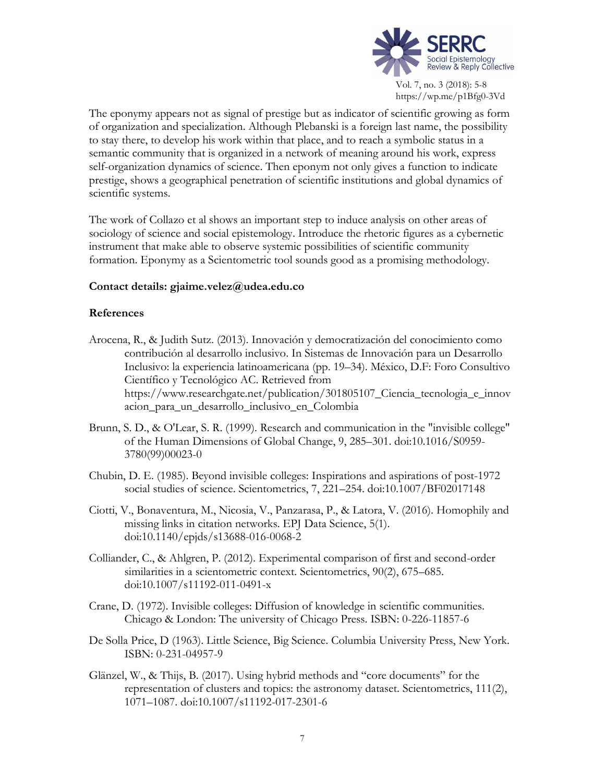

The eponymy appears not as signal of prestige but as indicator of scientific growing as form of organization and specialization. Although Plebanski is a foreign last name, the possibility to stay there, to develop his work within that place, and to reach a symbolic status in a semantic community that is organized in a network of meaning around his work, express self-organization dynamics of science. Then eponym not only gives a function to indicate prestige, shows a geographical penetration of scientific institutions and global dynamics of scientific systems.

The work of Collazo et al shows an important step to induce analysis on other areas of sociology of science and social epistemology. Introduce the rhetoric figures as a cybernetic instrument that make able to observe systemic possibilities of scientific community formation. Eponymy as a Scientometric tool sounds good as a promising methodology.

## **Contact details: gjaime.velez@udea.edu.co**

## **References**

- Arocena, R., & Judith Sutz. (2013). Innovación y democratización del conocimiento como contribución al desarrollo inclusivo. In Sistemas de Innovación para un Desarrollo Inclusivo: la experiencia latinoamericana (pp. 19–34). México, D.F: Foro Consultivo Científico y Tecnológico AC. Retrieved from https://www.researchgate.net/publication/301805107\_Ciencia\_tecnologia\_e\_innov acion\_para\_un\_desarrollo\_inclusivo\_en\_Colombia
- Brunn, S. D., & O'Lear, S. R. (1999). Research and communication in the "invisible college" of the Human Dimensions of Global Change, 9, 285–301. doi:10.1016/S0959- 3780(99)00023-0
- Chubin, D. E. (1985). Beyond invisible colleges: Inspirations and aspirations of post-1972 social studies of science. Scientometrics, 7, 221–254. doi:10.1007/BF02017148
- Ciotti, V., Bonaventura, M., Nicosia, V., Panzarasa, P., & Latora, V. (2016). Homophily and missing links in citation networks. EPJ Data Science, 5(1). doi:10.1140/epjds/s13688-016-0068-2
- Colliander, C., & Ahlgren, P. (2012). Experimental comparison of first and second-order similarities in a scientometric context. Scientometrics, 90(2), 675–685. doi:10.1007/s11192-011-0491-x
- Crane, D. (1972). Invisible colleges: Diffusion of knowledge in scientific communities. Chicago & London: The university of Chicago Press. ISBN: 0-226-11857-6
- De Solla Price, D (1963). Little Science, Big Science. Columbia University Press, New York. ISBN: 0-231-04957-9
- Glänzel, W., & Thijs, B. (2017). Using hybrid methods and "core documents" for the representation of clusters and topics: the astronomy dataset. Scientometrics, 111(2), 1071–1087. doi:10.1007/s11192-017-2301-6